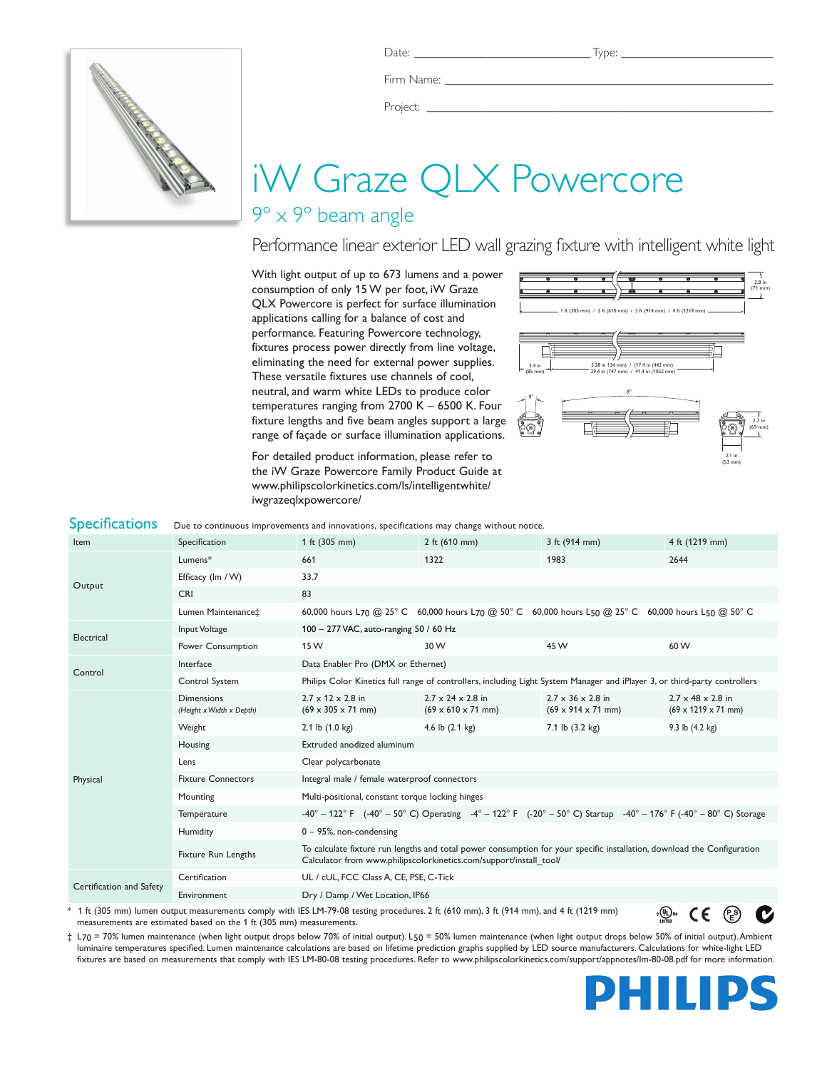

Firm Name:

Project: \_

# iW Graze QLX Powercore

## 9º x 9º beam angle

## Performance linear exterior LED wall grazing fixture with intelligent white light

With light output of up to 673 lumens and a power consumption of only 15 W per foot, iW Graze QLX Powercore is perfect for surface illumination applications calling for a balance of cost and performance. Featuring Powercore technology, fixtures process power directly from line voltage, eliminating the need for external power supplies. These versatile fixtures use channels of cool, neutral, and warm white LEDs to produce color temperatures ranging from 2700 K – 6500 K. Four fixture lengths and five beam angles support a large range of façade or surface illumination applications.

For detailed product information, please refer to the iW Graze Powercore Family Product Guide at www.philipscolorkinetics.com/ls/intelligentwhite/ iwgrazeqlxpowercore/



| <b>Specifications</b>    | Due to continuous improvements and innovations, specifications may change without notice.                                               |                                                                                                                                                                                               |                                                                         |                                                                                                                                                                                                                    |                                                                  |  |  |  |  |
|--------------------------|-----------------------------------------------------------------------------------------------------------------------------------------|-----------------------------------------------------------------------------------------------------------------------------------------------------------------------------------------------|-------------------------------------------------------------------------|--------------------------------------------------------------------------------------------------------------------------------------------------------------------------------------------------------------------|------------------------------------------------------------------|--|--|--|--|
| Item                     | Specification                                                                                                                           | 1 ft (305 mm)                                                                                                                                                                                 | 2 ft $(610 \, \text{mm})$                                               | 3 ft $(914 \, \text{mm})$                                                                                                                                                                                          | 4 ft (1219 mm)                                                   |  |  |  |  |
| Output                   | Lumens*                                                                                                                                 | 661                                                                                                                                                                                           | 1322                                                                    | 1983                                                                                                                                                                                                               | 2644                                                             |  |  |  |  |
|                          | Efficacy (Im / W)                                                                                                                       | 33.7                                                                                                                                                                                          |                                                                         |                                                                                                                                                                                                                    |                                                                  |  |  |  |  |
|                          | <b>CRI</b>                                                                                                                              | 83                                                                                                                                                                                            |                                                                         |                                                                                                                                                                                                                    |                                                                  |  |  |  |  |
|                          | Lumen Maintenance‡                                                                                                                      |                                                                                                                                                                                               |                                                                         | 60,000 hours L70 @ 25° C 60,000 hours L70 @ 50° C 60,000 hours L50 @ 25° C 60,000 hours L50 @ 50° C                                                                                                                |                                                                  |  |  |  |  |
| Electrical               | Input Voltage                                                                                                                           | 100 - 277 VAC, auto-ranging 50 / 60 Hz                                                                                                                                                        |                                                                         |                                                                                                                                                                                                                    |                                                                  |  |  |  |  |
|                          | Power Consumption                                                                                                                       | 15 W                                                                                                                                                                                          | 30 W                                                                    | 45 W                                                                                                                                                                                                               | 60 W                                                             |  |  |  |  |
| Control                  | Interface                                                                                                                               | Data Enabler Pro (DMX or Ethernet)                                                                                                                                                            |                                                                         |                                                                                                                                                                                                                    |                                                                  |  |  |  |  |
|                          | Control System                                                                                                                          | Philips Color Kinetics full range of controllers, including Light System Manager and iPlayer 3, or third-party controllers                                                                    |                                                                         |                                                                                                                                                                                                                    |                                                                  |  |  |  |  |
| Physical                 | <b>Dimensions</b><br>(Height x Width x Depth)                                                                                           | $2.7 \times 12 \times 2.8$ in<br>$(69 \times 305 \times 71 \text{ mm})$                                                                                                                       | $2.7 \times 24 \times 2.8$ in<br>$(69 \times 610 \times 71 \text{ mm})$ | $2.7 \times 36 \times 2.8$ in<br>$(69 \times 914 \times 71 \text{ mm})$                                                                                                                                            | $2.7 \times 48 \times 2.8$ in<br>$(69 \times 1219 \times 71$ mm) |  |  |  |  |
|                          | Weight                                                                                                                                  | 2.1 lb $(1.0 \text{ kg})$                                                                                                                                                                     | 4.6 lb $(2.1 \text{ kg})$                                               | 7.1 lb $(3.2 \text{ kg})$                                                                                                                                                                                          | 9.3 lb $(4.2 \text{ kg})$                                        |  |  |  |  |
|                          | Housing                                                                                                                                 | Extruded anodized aluminum                                                                                                                                                                    |                                                                         |                                                                                                                                                                                                                    |                                                                  |  |  |  |  |
|                          | Lens                                                                                                                                    | Clear polycarbonate                                                                                                                                                                           |                                                                         |                                                                                                                                                                                                                    |                                                                  |  |  |  |  |
|                          | <b>Fixture Connectors</b>                                                                                                               | Integral male / female waterproof connectors                                                                                                                                                  |                                                                         |                                                                                                                                                                                                                    |                                                                  |  |  |  |  |
|                          | Mounting                                                                                                                                | Multi-positional, constant torque locking hinges                                                                                                                                              |                                                                         |                                                                                                                                                                                                                    |                                                                  |  |  |  |  |
|                          | Temperature                                                                                                                             |                                                                                                                                                                                               |                                                                         | $-40^{\circ} - 122^{\circ}$ F ( $-40^{\circ} - 50^{\circ}$ C) Operating $-4^{\circ} - 122^{\circ}$ F ( $-20^{\circ} - 50^{\circ}$ C) Startup $-40^{\circ} - 176^{\circ}$ F ( $-40^{\circ} - 80^{\circ}$ C) Storage |                                                                  |  |  |  |  |
|                          | Humidity                                                                                                                                | $0 - 95$ %, non-condensing                                                                                                                                                                    |                                                                         |                                                                                                                                                                                                                    |                                                                  |  |  |  |  |
|                          | <b>Fixture Run Lengths</b>                                                                                                              | To calculate fixture run lengths and total power consumption for your specific installation, download the Configuration<br>Calculator from www.philipscolorkinetics.com/support/install_tool/ |                                                                         |                                                                                                                                                                                                                    |                                                                  |  |  |  |  |
| Certification and Safety | Certification                                                                                                                           | UL / cUL, FCC Class A, CE, PSE, C-Tick                                                                                                                                                        |                                                                         |                                                                                                                                                                                                                    |                                                                  |  |  |  |  |
|                          | Environment                                                                                                                             |                                                                                                                                                                                               | Dry / Damp / Wet Location, IP66                                         |                                                                                                                                                                                                                    |                                                                  |  |  |  |  |
|                          | * 1 ft (305 mm) lumen output measurements comply with IES LM-79-08 testing procedures. 2 ft (610 mm), 3 ft (914 mm), and 4 ft (1219 mm) |                                                                                                                                                                                               |                                                                         |                                                                                                                                                                                                                    | <sub>շ</sub> (Պ) <sub>us</sub><br>C E                            |  |  |  |  |

\* 1 ft (305 mm) lumen output measurements comply with IES LM-79-08 testing procedures. 2 ft (610 mm), 3 ft (914 mm), and 4 ft (1219 mm) measurements are estimated based on the 1 ft (305 mm) measurements.

‡ L70 = 70% lumen maintenance (when light output drops below 70% of initial output). L50 = 50% lumen maintenance (when light output drops below 50% of initial output). Ambient luminaire temperatures specified. Lumen maintenance calculations are based on lifetime prediction graphs supplied by LED source manufacturers. Calculations for white-light LED fixtures are based on measurements that comply with IES LM-80-08 testing procedures. Refer to www.philipscolorkinetics.com/support/appnotes/lm-80-08.pdf for more information.



 $CE(\mathcal{C}^{\circ})$ 

Ø